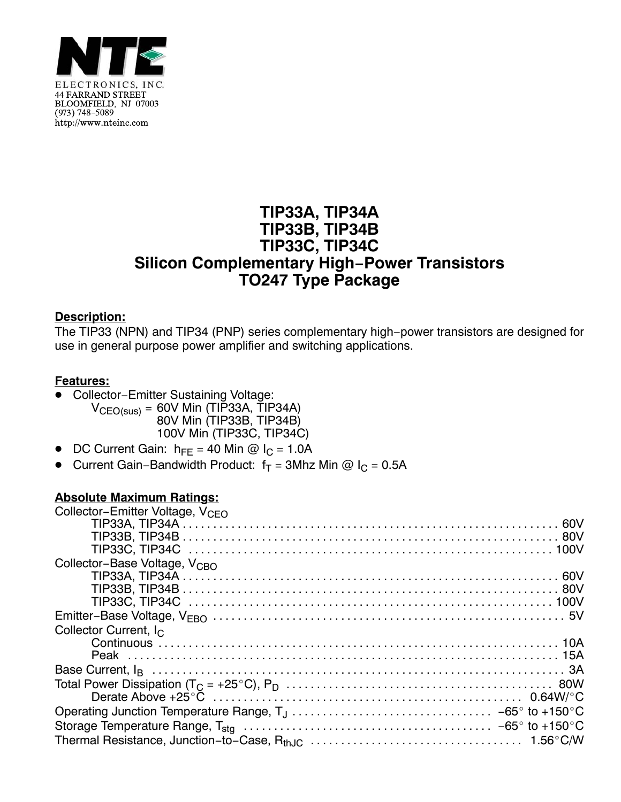

## **TIP33A, TIP34A TIP33B, TIP34B TIP33C, TIP34C Silicon Complementary High−Power Transistors TO247 Type Package**

## **Description:**

The TIP33 (NPN) and TIP34 (PNP) series complementary high−power transistors are designed for use in general purpose power amplifier and switching applications.

## **Features:**

- Collector−Emitter Sustaining Voltage:  $V_{CEO(sus)} = 60V$  Min (TIP33A, TIP34A) 80V Min (TIP33B, TIP34B) 100V Min (TIP33C, TIP34C)
- -DC Current Gain:  $h_{FE} = 40$  Min @  $I_C = 1.0$ A
- -Current Gain–Bandwidth Product:  $f_T = 3Mhz$  Min @  $I_C = 0.5A$

## **Absolute Maximum Ratings:**

| Collector-Emitter Voltage, V <sub>CFO</sub> |
|---------------------------------------------|
|                                             |
|                                             |
|                                             |
| Collector-Base Voltage, V <sub>CBO</sub>    |
|                                             |
|                                             |
|                                             |
|                                             |
| Collector Current, I <sub>C</sub>           |
|                                             |
|                                             |
|                                             |
|                                             |
|                                             |
|                                             |
|                                             |
|                                             |
|                                             |